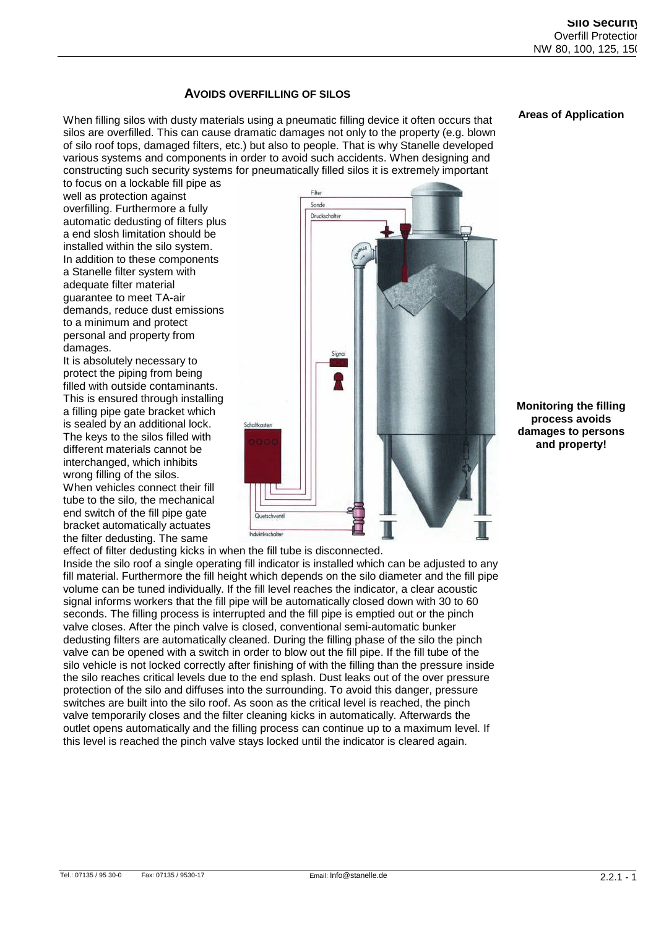**Areas of Application**

# **AVOIDS OVERFILLING OF SILOS**

When filling silos with dusty materials using a pneumatic filling device it often occurs that silos are overfilled. This can cause dramatic damages not only to the property (e.g. blown of silo roof tops, damaged filters, etc.) but also to people. That is why Stanelle developed various systems and components in order to avoid such accidents. When designing and constructing such security systems for pneumatically filled silos it is extremely important

to focus on a lockable fill pipe as well as protection against overfilling. Furthermore a fully automatic dedusting of filters plus a end slosh limitation should be installed within the silo system. In addition to these components a Stanelle filter system with adequate filter material guarantee to meet TA-air demands, reduce dust emissions to a minimum and protect personal and property from damages.

It is absolutely necessary to protect the piping from being filled with outside contaminants. This is ensured through installing a filling pipe gate bracket which is sealed by an additional lock. The keys to the silos filled with different materials cannot be interchanged, which inhibits wrong filling of the silos. When vehicles connect their fill tube to the silo, the mechanical end switch of the fill pipe gate bracket automatically actuates the filter dedusting. The same



**Monitoring the filling process avoids damages to persons and property!**

Inside the silo roof a single operating fill indicator is installed which can be adjusted to any fill material. Furthermore the fill height which depends on the silo diameter and the fill pipe volume can be tuned individually. If the fill level reaches the indicator, a clear acoustic signal informs workers that the fill pipe will be automatically closed down with 30 to 60 seconds. The filling process is interrupted and the fill pipe is emptied out or the pinch valve closes. After the pinch valve is closed, conventional semi-automatic bunker dedusting filters are automatically cleaned. During the filling phase of the silo the pinch valve can be opened with a switch in order to blow out the fill pipe. If the fill tube of the silo vehicle is not locked correctly after finishing of with the filling than the pressure inside the silo reaches critical levels due to the end splash. Dust leaks out of the over pressure protection of the silo and diffuses into the surrounding. To avoid this danger, pressure switches are built into the silo roof. As soon as the critical level is reached, the pinch valve temporarily closes and the filter cleaning kicks in automatically. Afterwards the outlet opens automatically and the filling process can continue up to a maximum level. If this level is reached the pinch valve stays locked until the indicator is cleared again.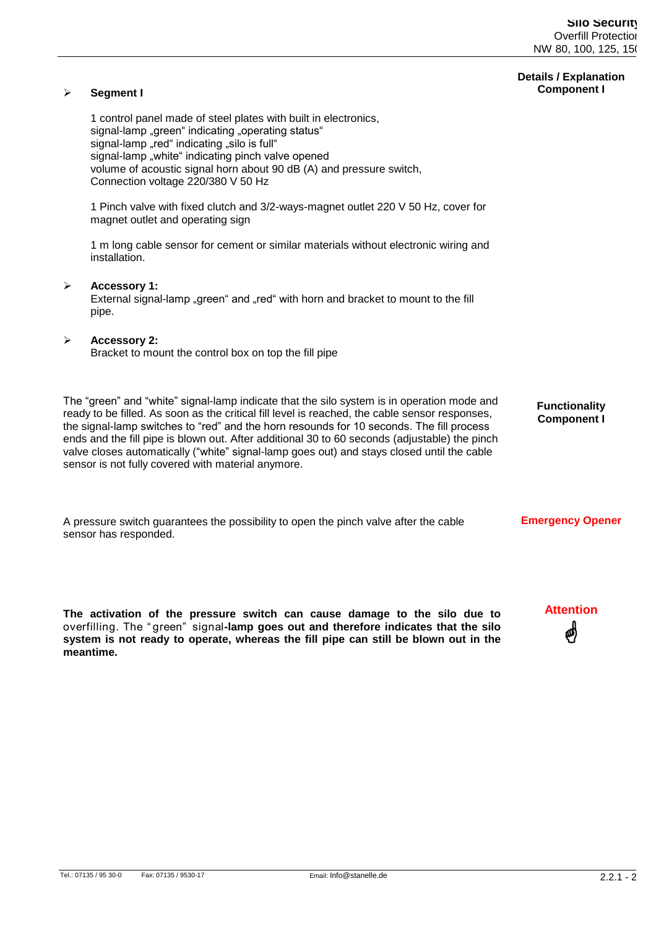#### **Details / Explanation Component I**

#### 1 control panel made of steel plates with built in electronics, signal-lamp "green" indicating "operating status" signal-lamp "red" indicating "silo is full" signal-lamp "white" indicating pinch valve opened volume of acoustic signal horn about 90 dB (A) and pressure switch, Connection voltage 220/380 V 50 Hz

1 Pinch valve with fixed clutch and 3/2-ways-magnet outlet 220 V 50 Hz, cover for magnet outlet and operating sign

1 m long cable sensor for cement or similar materials without electronic wiring and installation.

#### **Accessory 1:**

**Segment I**

External signal-lamp "green" and "red" with horn and bracket to mount to the fill pipe.

#### **Accessory 2:**

Bracket to mount the control box on top the fill pipe

The "green" and "white" signal-lamp indicate that the silo system is in operation mode and ready to be filled. As soon as the critical fill level is reached, the cable sensor responses, the signal-lamp switches to "red" and the horn resounds for 10 seconds. The fill process ends and the fill pipe is blown out. After additional 30 to 60 seconds (adjustable) the pinch valve closes automatically ("white" signal-lamp goes out) and stays closed until the cable sensor is not fully covered with material anymore.

**Functionality Component I**

A pressure switch guarantees the possibility to open the pinch valve after the cable sensor has responded. **Emergency Opener**

**The activation of the pressure switch can cause damage to the silo due to overfilling.The"green"signal-lamp goes out and therefore indicates that the silo system is not ready to operate, whereas the fill pipe can still be blown out in the meantime.**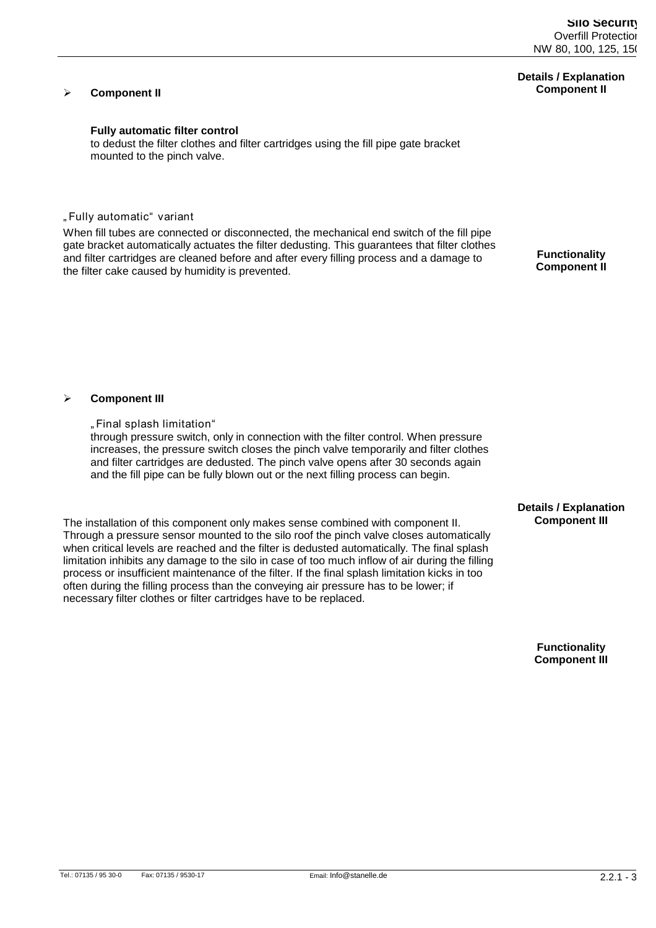# **Details / Explanation Component II**

# **Component II**

# **Fully automatic filter control**

to dedust the filter clothes and filter cartridges using the fill pipe gate bracket mounted to the pinch valve.

# **"Fullyautomatic"variant**

When fill tubes are connected or disconnected, the mechanical end switch of the fill pipe gate bracket automatically actuates the filter dedusting. This guarantees that filter clothes and filter cartridges are cleaned before and after every filling process and a damage to the filter cake caused by humidity is prevented.

**Functionality Component II**

#### **Component III**

**"Finalsplashlimitation"** through pressure switch, only in connection with the filter control. When pressure increases, the pressure switch closes the pinch valve temporarily and filter clothes and filter cartridges are dedusted. The pinch valve opens after 30 seconds again and the fill pipe can be fully blown out or the next filling process can begin.

The installation of this component only makes sense combined with component II. Through a pressure sensor mounted to the silo roof the pinch valve closes automatically when critical levels are reached and the filter is dedusted automatically. The final splash limitation inhibits any damage to the silo in case of too much inflow of air during the filling process or insufficient maintenance of the filter. If the final splash limitation kicks in too often during the filling process than the conveying air pressure has to be lower; if necessary filter clothes or filter cartridges have to be replaced.

### **Details / Explanation Component III**

**Functionality Component III**

Tel.: 07135 / 95 30-0 Fax: 07135 / 9530-17 Email: Info@stanelle.de 2.2.1 - 3